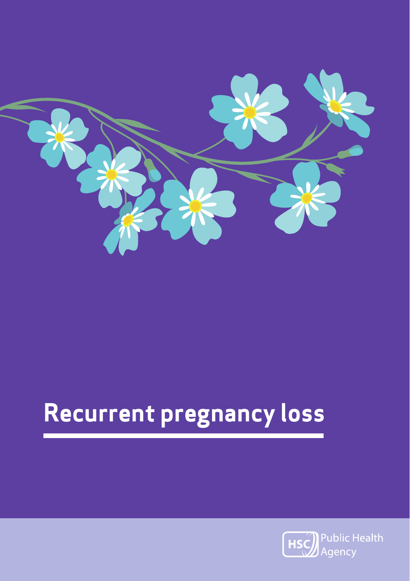

# **Recurrent pregnancy loss**

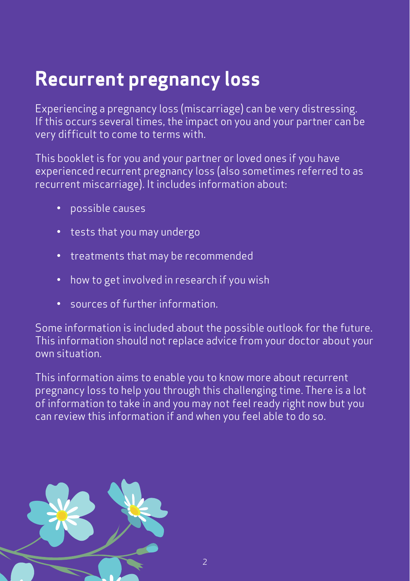### **Recurrent pregnancy loss**

Experiencing a pregnancy loss (miscarriage) can be very distressing. If this occurs several times, the impact on you and your partner can be very difficult to come to terms with.

This booklet is for you and your partner or loved ones if you have experienced recurrent pregnancy loss (also sometimes referred to as recurrent miscarriage). It includes information about:

- possible causes
- tests that you may undergo
- treatments that may be recommended
- how to get involved in research if you wish
- sources of further information.

Some information is included about the possible outlook for the future. This information should not replace advice from your doctor about your own situation.

This information aims to enable you to know more about recurrent pregnancy loss to help you through this challenging time. There is a lot of information to take in and you may not feel ready right now but you can review this information if and when you feel able to do so.

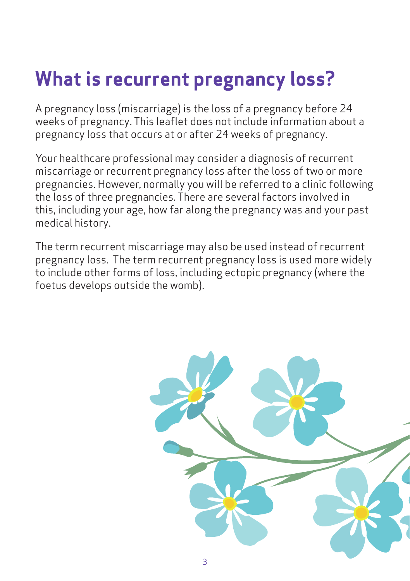## **What is recurrent pregnancy loss?**

A pregnancy loss (miscarriage) is the loss of a pregnancy before 24 weeks of pregnancy. This leaflet does not include information about a pregnancy loss that occurs at or after 24 weeks of pregnancy.

Your healthcare professional may consider a diagnosis of recurrent miscarriage or recurrent pregnancy loss after the loss of two or more pregnancies. However, normally you will be referred to a clinic following the loss of three pregnancies. There are several factors involved in this, including your age, how far along the pregnancy was and your past medical history.

The term recurrent miscarriage may also be used instead of recurrent pregnancy loss. The term recurrent pregnancy loss is used more widely to include other forms of loss, including ectopic pregnancy (where the foetus develops outside the womb).

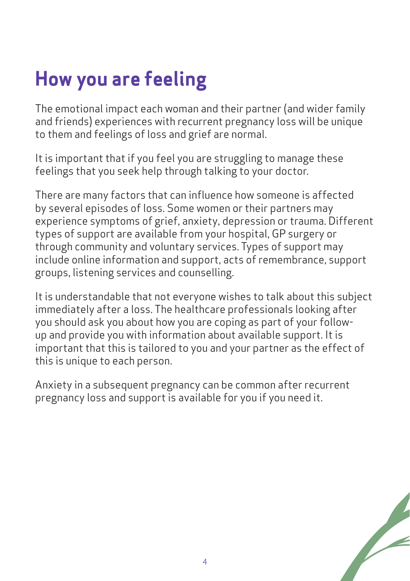## **How you are feeling**

The emotional impact each woman and their partner (and wider family and friends) experiences with recurrent pregnancy loss will be unique to them and feelings of loss and grief are normal.

It is important that if you feel you are struggling to manage these feelings that you seek help through talking to your doctor.

There are many factors that can influence how someone is affected by several episodes of loss. Some women or their partners may experience symptoms of grief, anxiety, depression or trauma. Different types of support are available from your hospital, GP surgery or through community and voluntary services. Types of support may include online information and support, acts of remembrance, support groups, listening services and counselling.

It is understandable that not everyone wishes to talk about this subject immediately after a loss. The healthcare professionals looking after you should ask you about how you are coping as part of your followup and provide you with information about available support. It is important that this is tailored to you and your partner as the effect of this is unique to each person.

Anxiety in a subsequent pregnancy can be common after recurrent pregnancy loss and support is available for you if you need it.

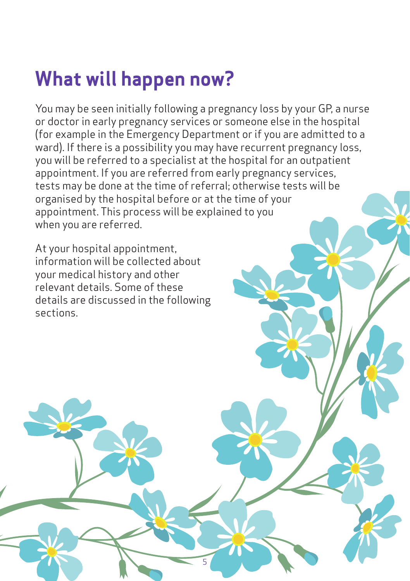### **What will happen now?**

You may be seen initially following a pregnancy loss by your GP, a nurse or doctor in early pregnancy services or someone else in the hospital (for example in the Emergency Department or if you are admitted to a ward). If there is a possibility you may have recurrent pregnancy loss, you will be referred to a specialist at the hospital for an outpatient appointment. If you are referred from early pregnancy services, tests may be done at the time of referral; otherwise tests will be organised by the hospital before or at the time of your appointment. This process will be explained to you when you are referred.

5

At your hospital appointment, information will be collected about your medical history and other relevant details. Some of these details are discussed in the following sections.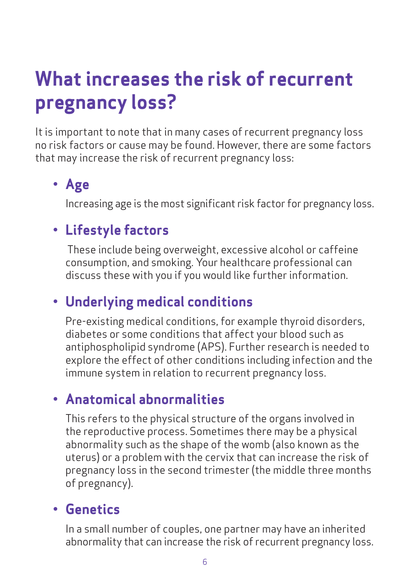### **What increases the risk of recurrent pregnancy loss?**

It is important to note that in many cases of recurrent pregnancy loss no risk factors or cause may be found. However, there are some factors that may increase the risk of recurrent pregnancy loss:

### **• Age**

Increasing age is the most significant risk factor for pregnancy loss.

### **• Lifestyle factors**

 These include being overweight, excessive alcohol or caffeine consumption, and smoking. Your healthcare professional can discuss these with you if you would like further information.

### **• Underlying medical conditions**

Pre-existing medical conditions, for example thyroid disorders, diabetes or some conditions that affect your blood such as antiphospholipid syndrome (APS). Further research is needed to explore the effect of other conditions including infection and the immune system in relation to recurrent pregnancy loss.

### **• Anatomical abnormalities**

This refers to the physical structure of the organs involved in the reproductive process. Sometimes there may be a physical abnormality such as the shape of the womb (also known as the uterus) or a problem with the cervix that can increase the risk of pregnancy loss in the second trimester (the middle three months of pregnancy).

### **• Genetics**

In a small number of couples, one partner may have an inherited abnormality that can increase the risk of recurrent pregnancy loss.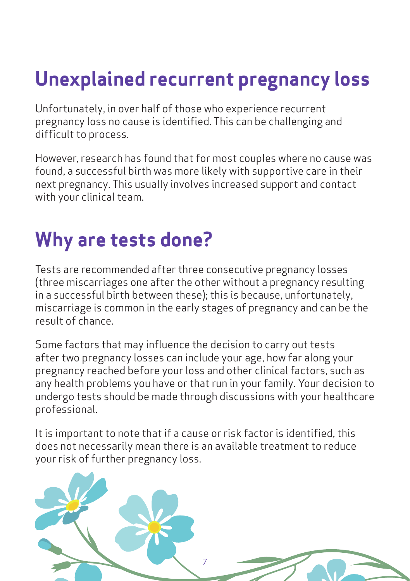## **Unexplained recurrent pregnancy loss**

Unfortunately, in over half of those who experience recurrent pregnancy loss no cause is identified. This can be challenging and difficult to process.

However, research has found that for most couples where no cause was found, a successful birth was more likely with supportive care in their next pregnancy. This usually involves increased support and contact with your clinical team.

### **Why are tests done?**

Tests are recommended after three consecutive pregnancy losses (three miscarriages one after the other without a pregnancy resulting in a successful birth between these); this is because, unfortunately, miscarriage is common in the early stages of pregnancy and can be the result of chance.

Some factors that may influence the decision to carry out tests after two pregnancy losses can include your age, how far along your pregnancy reached before your loss and other clinical factors, such as any health problems you have or that run in your family. Your decision to undergo tests should be made through discussions with your healthcare professional.

It is important to note that if a cause or risk factor is identified, this does not necessarily mean there is an available treatment to reduce your risk of further pregnancy loss.

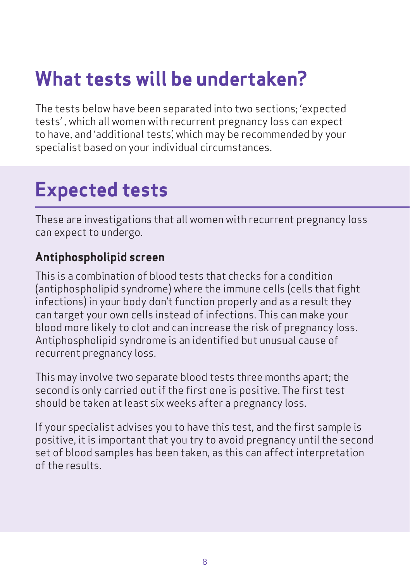### **What tests will be undertaken?**

The tests below have been separated into two sections; 'expected tests' , which all women with recurrent pregnancy loss can expect to have, and 'additional tests', which may be recommended by your specialist based on your individual circumstances.

### **Expected tests**

These are investigations that all women with recurrent pregnancy loss can expect to undergo.

#### **Antiphospholipid screen**

This is a combination of blood tests that checks for a condition (antiphospholipid syndrome) where the immune cells (cells that fight infections) in your body don't function properly and as a result they can target your own cells instead of infections. This can make your blood more likely to clot and can increase the risk of pregnancy loss. Antiphospholipid syndrome is an identified but unusual cause of recurrent pregnancy loss.

This may involve two separate blood tests three months apart; the second is only carried out if the first one is positive. The first test should be taken at least six weeks after a pregnancy loss.

If your specialist advises you to have this test, and the first sample is positive, it is important that you try to avoid pregnancy until the second set of blood samples has been taken, as this can affect interpretation of the results.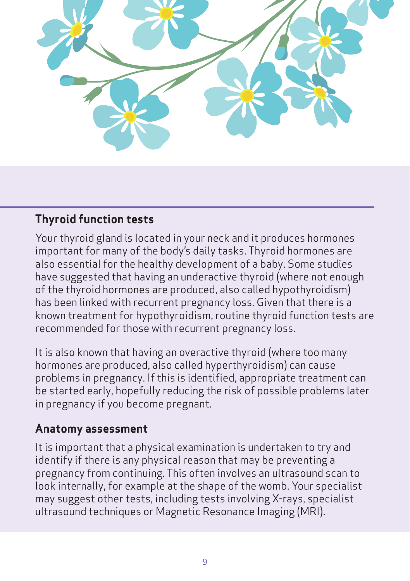

#### **Thyroid function tests**

Your thyroid gland is located in your neck and it produces hormones important for many of the body's daily tasks. Thyroid hormones are also essential for the healthy development of a baby. Some studies have suggested that having an underactive thyroid (where not enough of the thyroid hormones are produced, also called hypothyroidism) has been linked with recurrent pregnancy loss. Given that there is a known treatment for hypothyroidism, routine thyroid function tests are recommended for those with recurrent pregnancy loss.

It is also known that having an overactive thyroid (where too many hormones are produced, also called hyperthyroidism) can cause problems in pregnancy. If this is identified, appropriate treatment can be started early, hopefully reducing the risk of possible problems later in pregnancy if you become pregnant.

#### **Anatomy assessment**

It is important that a physical examination is undertaken to try and identify if there is any physical reason that may be preventing a pregnancy from continuing. This often involves an ultrasound scan to look internally, for example at the shape of the womb. Your specialist may suggest other tests, including tests involving X-rays, specialist ultrasound techniques or Magnetic Resonance Imaging (MRI).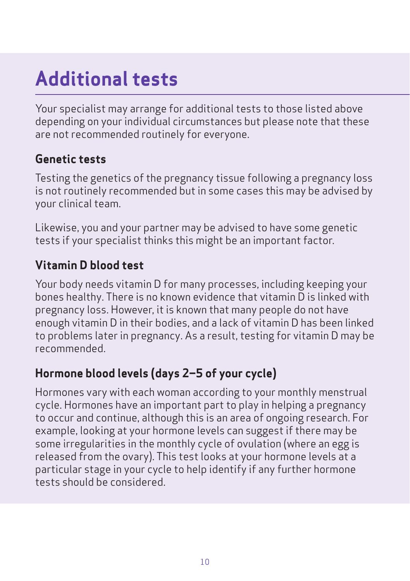## **Additional tests**

Your specialist may arrange for additional tests to those listed above depending on your individual circumstances but please note that these are not recommended routinely for everyone.

#### **Genetic tests**

Testing the genetics of the pregnancy tissue following a pregnancy loss is not routinely recommended but in some cases this may be advised by your clinical team.

Likewise, you and your partner may be advised to have some genetic tests if your specialist thinks this might be an important factor.

#### **Vitamin D blood test**

Your body needs vitamin D for many processes, including keeping your bones healthy. There is no known evidence that vitamin D is linked with pregnancy loss. However, it is known that many people do not have enough vitamin D in their bodies, and a lack of vitamin D has been linked to problems later in pregnancy. As a result, testing for vitamin D may be recommended.

#### **Hormone blood levels (days 2–5 of your cycle)**

Hormones vary with each woman according to your monthly menstrual cycle. Hormones have an important part to play in helping a pregnancy to occur and continue, although this is an area of ongoing research. For example, looking at your hormone levels can suggest if there may be some irregularities in the monthly cycle of ovulation (where an egg is released from the ovary). This test looks at your hormone levels at a particular stage in your cycle to help identify if any further hormone tests should be considered.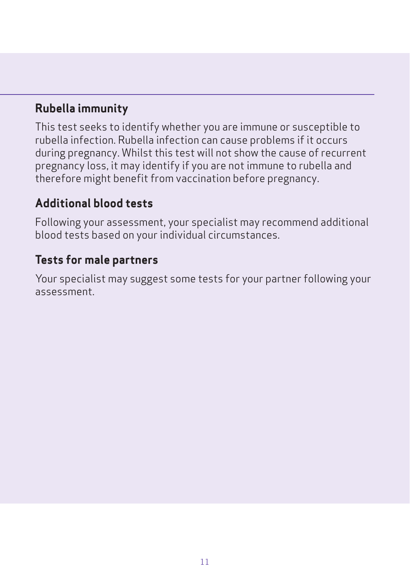#### **Rubella immunity**

This test seeks to identify whether you are immune or susceptible to rubella infection. Rubella infection can cause problems if it occurs during pregnancy. Whilst this test will not show the cause of recurrent pregnancy loss, it may identify if you are not immune to rubella and therefore might benefit from vaccination before pregnancy.

#### **Additional blood tests**

Following your assessment, your specialist may recommend additional blood tests based on your individual circumstances.

#### **Tests for male partners**

Your specialist may suggest some tests for your partner following your assessment.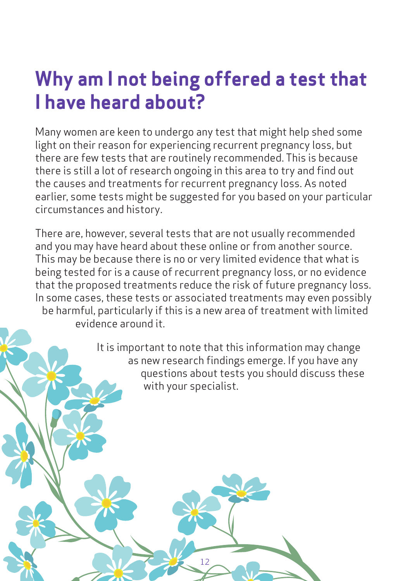### **Why am I not being offered a test that I have heard about?**

Many women are keen to undergo any test that might help shed some light on their reason for experiencing recurrent pregnancy loss, but there are few tests that are routinely recommended. This is because there is still a lot of research ongoing in this area to try and find out the causes and treatments for recurrent pregnancy loss. As noted earlier, some tests might be suggested for you based on your particular circumstances and history.

There are, however, several tests that are not usually recommended and you may have heard about these online or from another source. This may be because there is no or very limited evidence that what is being tested for is a cause of recurrent pregnancy loss, or no evidence that the proposed treatments reduce the risk of future pregnancy loss. In some cases, these tests or associated treatments may even possibly be harmful, particularly if this is a new area of treatment with limited evidence around it.

12

It is important to note that this information may change as new research findings emerge. If you have any questions about tests you should discuss these with your specialist.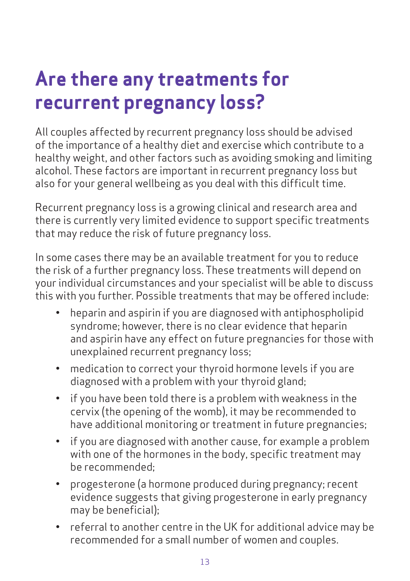### **Are there any treatments for recurrent pregnancy loss?**

All couples affected by recurrent pregnancy loss should be advised of the importance of a healthy diet and exercise which contribute to a healthy weight, and other factors such as avoiding smoking and limiting alcohol. These factors are important in recurrent pregnancy loss but also for your general wellbeing as you deal with this difficult time.

Recurrent pregnancy loss is a growing clinical and research area and there is currently very limited evidence to support specific treatments that may reduce the risk of future pregnancy loss.

In some cases there may be an available treatment for you to reduce the risk of a further pregnancy loss. These treatments will depend on your individual circumstances and your specialist will be able to discuss this with you further. Possible treatments that may be offered include:

- heparin and aspirin if you are diagnosed with antiphospholipid syndrome; however, there is no clear evidence that heparin and aspirin have any effect on future pregnancies for those with unexplained recurrent pregnancy loss;
- medication to correct your thyroid hormone levels if you are diagnosed with a problem with your thyroid gland;
- if you have been told there is a problem with weakness in the cervix (the opening of the womb), it may be recommended to have additional monitoring or treatment in future pregnancies;
- if you are diagnosed with another cause, for example a problem with one of the hormones in the body, specific treatment may be recommended;
- progesterone (a hormone produced during pregnancy; recent evidence suggests that giving progesterone in early pregnancy may be beneficial);
- referral to another centre in the UK for additional advice may be recommended for a small number of women and couples.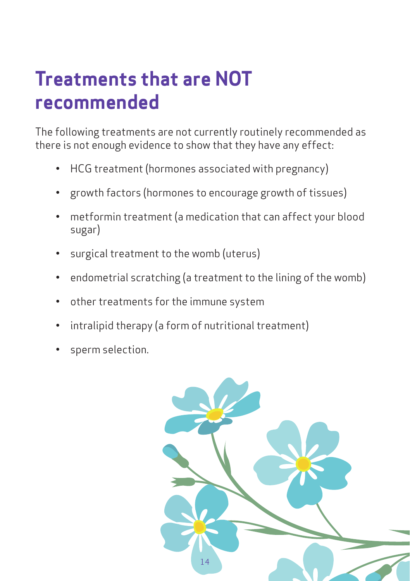### **Treatments that are NOT recommended**

The following treatments are not currently routinely recommended as there is not enough evidence to show that they have any effect:

- HCG treatment (hormones associated with pregnancy)
- growth factors (hormones to encourage growth of tissues)
- metformin treatment (a medication that can affect your blood sugar)
- surgical treatment to the womb (uterus)
- endometrial scratching (a treatment to the lining of the womb)
- other treatments for the immune system
- intralipid therapy (a form of nutritional treatment)
- sperm selection.

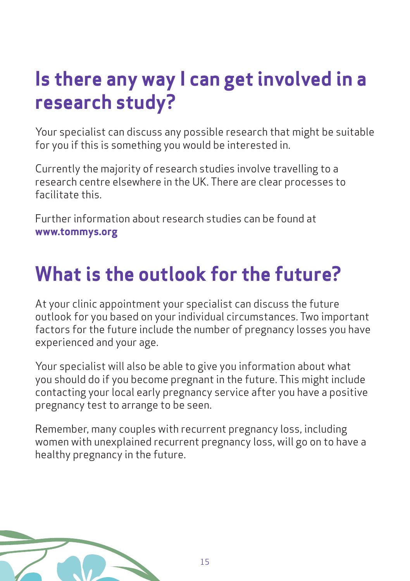### **Is there any way I can get involved in a research study?**

Your specialist can discuss any possible research that might be suitable for you if this is something you would be interested in.

Currently the majority of research studies involve travelling to a research centre elsewhere in the UK. There are clear processes to facilitate this.

Further information about research studies can be found at **www.tommys.org**

### **What is the outlook for the future?**

At your clinic appointment your specialist can discuss the future outlook for you based on your individual circumstances. Two important factors for the future include the number of pregnancy losses you have experienced and your age.

Your specialist will also be able to give you information about what you should do if you become pregnant in the future. This might include contacting your local early pregnancy service after you have a positive pregnancy test to arrange to be seen.

Remember, many couples with recurrent pregnancy loss, including women with unexplained recurrent pregnancy loss, will go on to have a healthy pregnancy in the future.